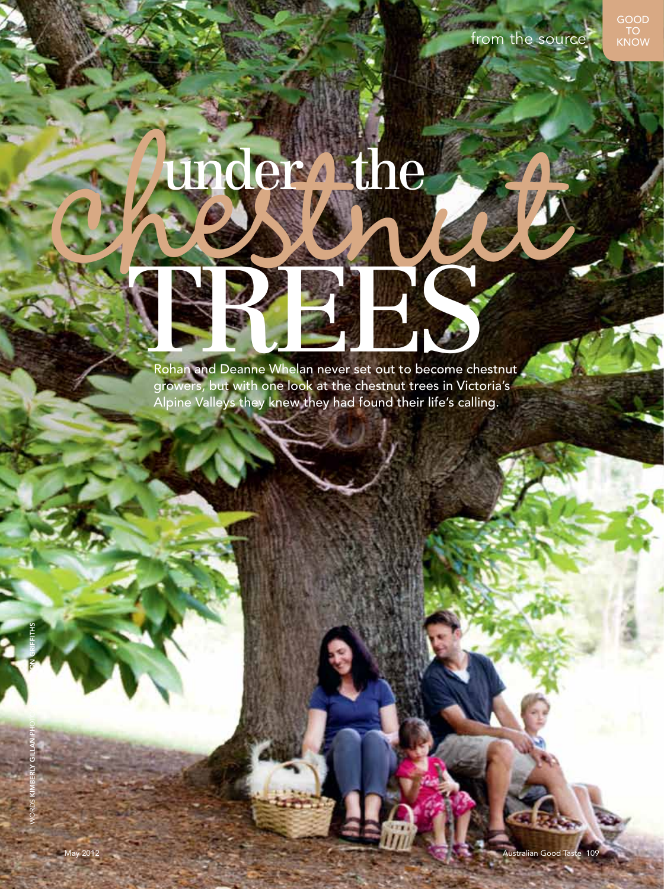# under dhe Rohan and Deanne Whelan never set out to become che

Rohan and Deanne Whelan never set out to become chestnut growers, but with one look at the chestnut trees in Victoria's Alpine Valleys they knew they had found their life's calling.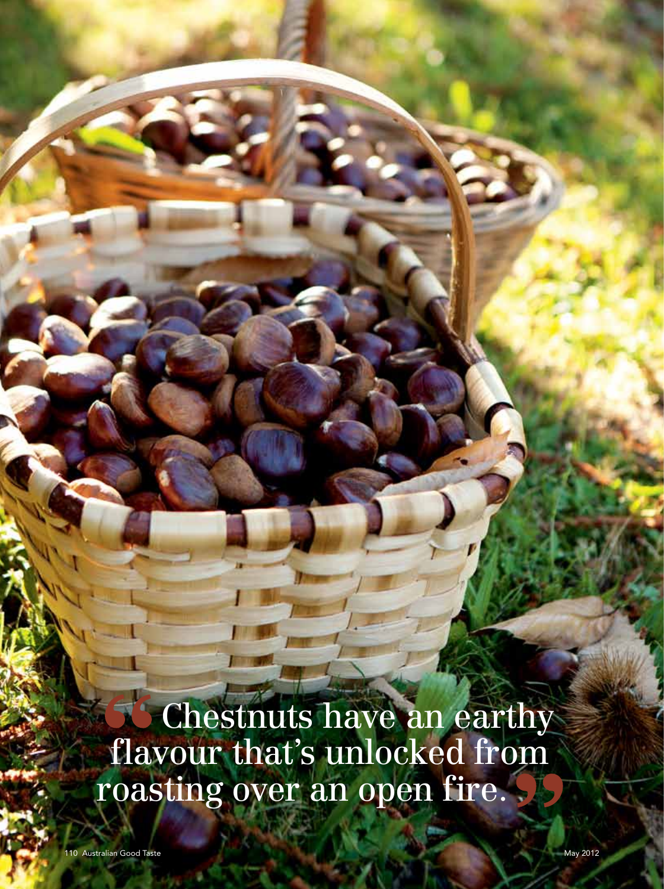Chestnuts have an earthy flavour that's unlocked from roasting over an open fire.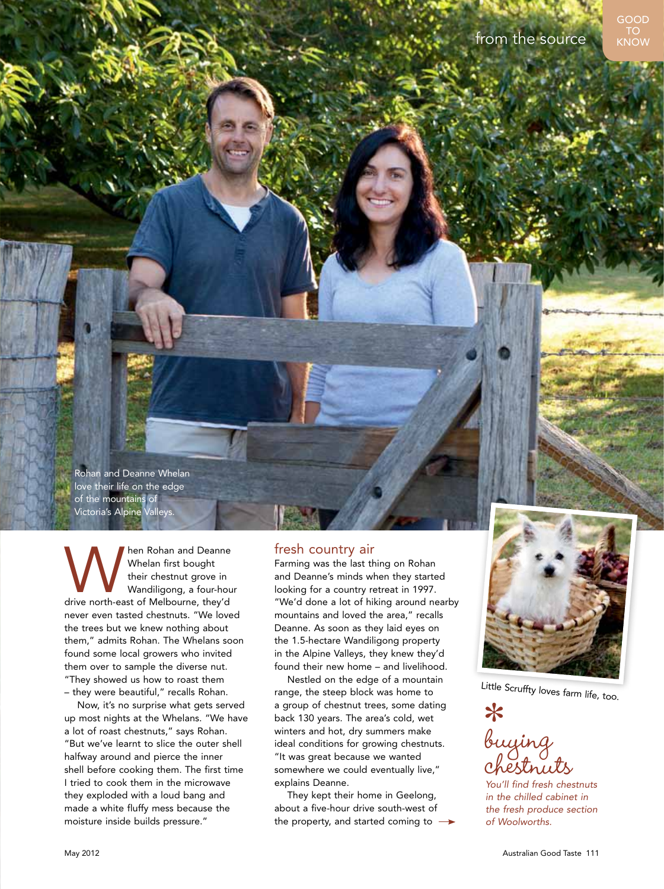Rohan and Deanne Whelan love their life on the edge of the mountains of Victoria's Alpine Valleys.

**MANU hen Rohan and Deanne Whelan first bought their chestnut grove in Wandiligong, a four-hout drive north-east of Melbourne, they'd space of Melbourne** Whelan first bought their chestnut grove in Wandiligong, a four-hour never even tasted chestnuts. "We loved the trees but we knew nothing about them," admits Rohan. The Whelans soon found some local growers who invited them over to sample the diverse nut. "They showed us how to roast them – they were beautiful," recalls Rohan.

Now, it's no surprise what gets served up most nights at the Whelans. "We have a lot of roast chestnuts," says Rohan. "But we've learnt to slice the outer shell halfway around and pierce the inner shell before cooking them. The first time I tried to cook them in the microwave they exploded with a loud bang and made a white fluffy mess because the moisture inside builds pressure."

### fresh country air

Farming was the last thing on Rohan and Deanne's minds when they started looking for a country retreat in 1997. "We'd done a lot of hiking around nearby mountains and loved the area," recalls Deanne. As soon as they laid eyes on the 1.5-hectare Wandiligong property in the Alpine Valleys, they knew they'd found their new home – and livelihood.

Nestled on the edge of a mountain range, the steep block was home to a group of chestnut trees, some dating back 130 years. The area's cold, wet winters and hot, dry summers make ideal conditions for growing chestnuts. "It was great because we wanted somewhere we could eventually live," explains Deanne.

They kept their home in Geelong, about a five-hour drive south-west of the property, and started coming to  $\rightarrow$ 



Little Scruffty loves farm life, too.

buying chestnuts

*You'll find fresh chestnuts in the chilled cabinet in the fresh produce section of Woolworths.*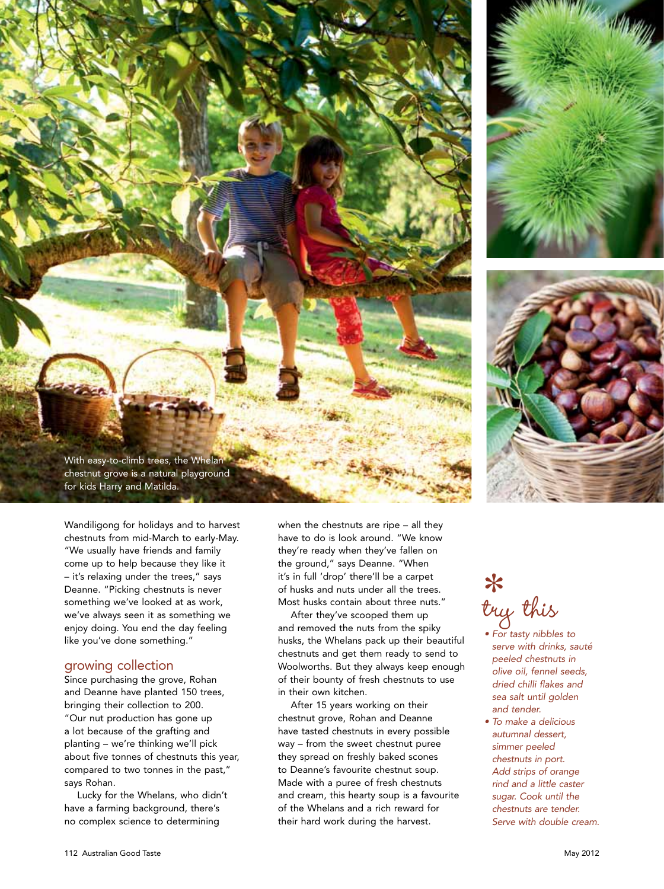





Wandiligong for holidays and to harvest chestnuts from mid-March to early-May. "We usually have friends and family come up to help because they like it – it's relaxing under the trees," says Deanne. "Picking chestnuts is never something we've looked at as work, we've always seen it as something we enjoy doing. You end the day feeling like you've done something."

### growing collection

Since purchasing the grove, Rohan and Deanne have planted 150 trees, bringing their collection to 200.

"Our nut production has gone up a lot because of the grafting and planting – we're thinking we'll pick about five tonnes of chestnuts this year, compared to two tonnes in the past," says Rohan.

Lucky for the Whelans, who didn't have a farming background, there's no complex science to determining

when the chestnuts are ripe – all they have to do is look around. "We know they're ready when they've fallen on the ground," says Deanne. "When it's in full 'drop' there'll be a carpet of husks and nuts under all the trees. Most husks contain about three nuts."

After they've scooped them up and removed the nuts from the spiky husks, the Whelans pack up their beautiful chestnuts and get them ready to send to Woolworths. But they always keep enough of their bounty of fresh chestnuts to use in their own kitchen.

After 15 years working on their chestnut grove, Rohan and Deanne have tasted chestnuts in every possible way – from the sweet chestnut puree they spread on freshly baked scones to Deanne's favourite chestnut soup. Made with a puree of fresh chestnuts and cream, this hearty soup is a favourite of the Whelans and a rich reward for their hard work during the harvest.

## try this

- For tasty nibbles to *serve with drinks, sauté peeled chestnuts in olive oil, fennel seeds, dried chilli flakes and sea salt until golden and tender.*
- To make a delicious autumnal dessert, simmer peeled *chestnuts in port. Add strips of orange rind and a little caster sugar. Cook until the chestnuts are tender.*  Serve with double cream.